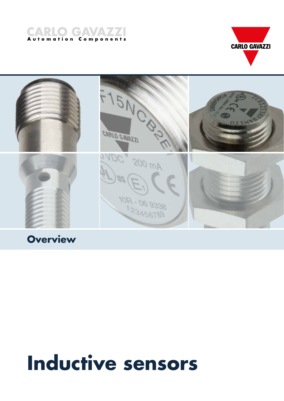





# **Building Automatic Properties**

# **Inductive sensors**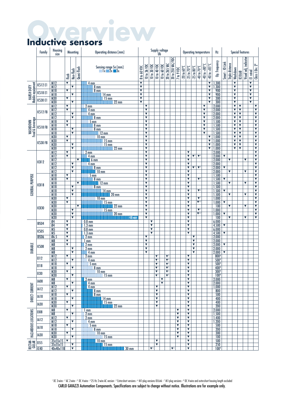# **Overview Inductive sensors**

|                             | Family            | Supply voltage<br>Ub<br>Housing<br>Operating distance [mm]<br>Mounting<br>size |                              |                                                 |             |                                                                                                                        |                                                                                                                   |                              |                              | <b>Operating temperature</b>                                                                                            |                                                 |                                 | <b>Special features</b><br>Hz |                                                 |                 |                                                    |                           |                                      |                         |                                                 |                                             |                         |   |                              |                                                    |                         |                              |                                                    |
|-----------------------------|-------------------|--------------------------------------------------------------------------------|------------------------------|-------------------------------------------------|-------------|------------------------------------------------------------------------------------------------------------------------|-------------------------------------------------------------------------------------------------------------------|------------------------------|------------------------------|-------------------------------------------------------------------------------------------------------------------------|-------------------------------------------------|---------------------------------|-------------------------------|-------------------------------------------------|-----------------|----------------------------------------------------|---------------------------|--------------------------------------|-------------------------|-------------------------------------------------|---------------------------------------------|-------------------------|---|------------------------------|----------------------------------------------------|-------------------------|------------------------------|----------------------------------------------------|
|                             |                   |                                                                                | Flush                        | Non-flush                                       | Quasi-flush | Sensing range Sn [mm]<br>Ix 2x 3x                                                                                      | 20 to 250 VAC/VDC<br>20 to 265 VAC<br>10 to 36 VDC<br>10 to 30 VDC<br>10 to 60 VDC<br>10 to 40 VDC<br>8 to 60 VDC |                              | 7 to 9 VDC                   | $-40$ to $+80^{\circ}$ C<br>$-20$ to $60^{\circ}$ C<br>-40 to 70°C<br>-25 to 70 $^{\circ}$ C<br>$-25$ to $80^{\circ}$ C |                                                 | $-40$ to $+85^{\circ}$ C        | Op. frequency                 | $Smart - 10 - Link$                             | Triple distance | Washdown                                           | <b>ECOLAB</b>             | Visual adj. indicator                | El rated                | Class I Div. $2^8$                              |                                             |                         |   |                              |                                                    |                         |                              |                                                    |
| Mobile equipment            | ICS12 E1          | $\frac{M12}{M12}$                                                              | $\overline{\mathbf{v}}$      | v                                               |             | 4 <sub>mm</sub><br>$\frac{8}{8}$ mm                                                                                    | $\overline{\mathbf{v}}$<br>$\blacktriangledown$                                                                   |                              |                              |                                                                                                                         |                                                 |                                 |                               |                                                 |                 |                                                    |                           |                                      |                         | $\overline{\mathbf{v}}$<br>$\blacktriangledown$ | .300                                        |                         |   | $\overline{\textbf{v}}$<br>V |                                                    |                         | $\overline{\mathbf{v}}$<br>V |                                                    |
| <b>HARSH DUTY</b>           | ICS18 E1          | M18<br>M18                                                                     | $\blacktriangledown$         | ▼                                               |             | $14 \text{ mm}$                                                                                                        | $\blacktriangledown$<br>$\overline{\mathbf{v}}$                                                                   |                              |                              |                                                                                                                         |                                                 |                                 |                               |                                                 |                 |                                                    |                           |                                      |                         | $\blacktriangledown$<br>$\overline{\mathbf{v}}$ | $\frac{300}{900}$                           |                         |   | ▼<br>$\overline{\mathbf{v}}$ |                                                    |                         | ▼<br>$\overline{\textbf{v}}$ |                                                    |
|                             | ICS30 E1          | M30                                                                            | $\blacktriangledown$         |                                                 |             | $15 \text{ mm}$                                                                                                        | $\overline{\textbf{v}}$                                                                                           |                              |                              |                                                                                                                         |                                                 |                                 |                               |                                                 |                 |                                                    |                           |                                      |                         | $\blacktriangledown$                            | $\frac{300}{300}$                           |                         |   | ▼                            |                                                    |                         | $\overline{\textbf{v}}$      |                                                    |
|                             |                   | M30<br>M12                                                                     | V                            | ▼                                               |             | $22 \text{ mm}$<br>2 <sub>mm</sub>                                                                                     | $\overline{\mathbf{v}}$                                                                                           | ▼                            |                              |                                                                                                                         |                                                 |                                 |                               |                                                 |                 |                                                    |                           |                                      | ▼                       | $\overline{\mathbf{v}}$                         |                                             |                         |   | ▼<br>$\overline{\mathbf{v}}$ | $\blacktriangledown$                               |                         | ▼                            | ▼                                                  |
|                             | ICS12 FB          | M12                                                                            | $\blacktriangledown$         |                                                 |             | 4 mm                                                                                                                   |                                                                                                                   | v                            |                              |                                                                                                                         |                                                 |                                 |                               |                                                 |                 |                                                    |                           |                                      | V                       |                                                 | $\frac{2.000}{2.000}$                       |                         |   | ▼                            | $\overline{\mathbf{v}}$                            |                         |                              | $\overline{\textbf{v}}$                            |
|                             |                   | M12<br>M12                                                                     |                              | $\blacktriangledown$<br>$\overline{\mathbf{v}}$ |             | 4 mm<br>$8 \text{ mm}$                                                                                                 |                                                                                                                   | $\overline{\mathbf{v}}$<br>▼ |                              |                                                                                                                         |                                                 |                                 |                               |                                                 |                 |                                                    |                           |                                      | ▼<br>▼                  |                                                 | 2.000<br>2.000                              |                         |   | ▼<br>▼                       | $\blacktriangledown$<br>$\overline{\mathbf{v}}$    |                         |                              | $\blacktriangledown$<br>▼                          |
| WASHDOWN<br>Food & beverage |                   | M18                                                                            | V<br>$\overline{\textbf{v}}$ |                                                 |             | $5 \text{ mm}$                                                                                                         |                                                                                                                   | ▼                            |                              |                                                                                                                         |                                                 |                                 |                               |                                                 |                 |                                                    |                           |                                      | V                       |                                                 | 1.500                                       |                         |   | ▼                            | $\blacktriangledown$                               |                         |                              | ▼                                                  |
|                             | ICS18 FB          | M18<br>M18                                                                     |                              | ▼                                               |             | 8 <sub>mm</sub><br>8 <sub>mm</sub>                                                                                     |                                                                                                                   | ▼<br>▼                       |                              |                                                                                                                         |                                                 |                                 |                               |                                                 |                 |                                                    |                           |                                      | ▼<br>V                  |                                                 | 1.500                                       |                         |   | ▼<br>▼                       | $\blacktriangledown$<br>$\blacktriangledown$       |                         |                              | $\overline{\textbf{v}}$<br>$\overline{\textbf{v}}$ |
|                             |                   | M18                                                                            |                              | $\blacktriangledown$                            |             | $12 \text{ mm}$                                                                                                        |                                                                                                                   | v<br>V                       |                              |                                                                                                                         |                                                 |                                 |                               |                                                 |                 |                                                    |                           |                                      | $\overline{\mathbf{v}}$ |                                                 |                                             |                         |   | ▼                            | $\blacktriangledown$                               |                         |                              | $\overline{\textbf{v}}$                            |
|                             | ICS30 FB          | M30<br>M30                                                                     | ▼<br>$\overline{\mathbf{v}}$ |                                                 |             | $10 \text{ mm}$<br>$15 \text{ mm}$                                                                                     |                                                                                                                   | ▼                            |                              |                                                                                                                         |                                                 |                                 |                               |                                                 |                 |                                                    |                           |                                      |                         | v<br>$\overline{\mathbf{v}}$                    | $\frac{1.500}{1.500}$ $\frac{1.500}{1.000}$ |                         |   | ▼<br>▼                       | $\blacktriangledown$<br>$\overline{\mathbf{v}}$    |                         |                              | $\blacktriangledown$<br>$\overline{\textbf{v}}$    |
|                             |                   | <b>M30</b><br>M30                                                              |                              | ▼<br>$\overline{\textbf{v}}$                    |             | $15 \text{ mm}$<br>$22 \text{ mm}$                                                                                     |                                                                                                                   | ▼<br>▼                       |                              |                                                                                                                         |                                                 |                                 |                               |                                                 |                 |                                                    |                           |                                      |                         | ▼                                               | 1.000<br>$\blacktriangledown$ 1.000         |                         |   | ▼<br>▼                       | $\overline{\mathbf{v}}$<br>$\overline{\textbf{v}}$ |                         |                              | ▼<br>$\overline{\textbf{v}}$                       |
|                             |                   | M12                                                                            | $\blacktriangledown$         |                                                 |             | $2 \, \text{mm}$                                                                                                       |                                                                                                                   | ▼                            |                              |                                                                                                                         |                                                 |                                 |                               |                                                 |                 | ▼                                                  |                           |                                      |                         |                                                 | 2.000                                       |                         |   |                              |                                                    |                         |                              | $\blacktriangledown$                               |
|                             |                   | M12<br>M12                                                                     | $\overline{\mathbf{v}}$      |                                                 | ▼           | $\frac{4}{4}$ mm<br>6 <sub>mm</sub>                                                                                    |                                                                                                                   | ▼<br>▼                       |                              |                                                                                                                         |                                                 |                                 |                               |                                                 |                 | ▼<br>▼                                             | $\nabla^5$ $\nabla^6$     |                                      |                         |                                                 | $\frac{2.000}{2.000}$                       | $\blacktriangledown$    | ▼ |                              |                                                    | ▼                       |                              | ▼<br>$\overline{\textbf{v}}$                       |
|                             | ICB12             | M12                                                                            |                              | $\blacktriangledown$                            |             | 4 mm                                                                                                                   |                                                                                                                   | Y                            |                              |                                                                                                                         |                                                 |                                 |                               |                                                 |                 | ▼                                                  |                           |                                      |                         |                                                 | 2.000                                       |                         |   |                              |                                                    |                         |                              | $\blacktriangledown$                               |
|                             |                   | M12<br>M12                                                                     |                              | $\blacktriangledown$<br>$\blacktriangledown$    |             | $8 \text{ mm}$<br>$\blacksquare$ 10 mm                                                                                 |                                                                                                                   | ▼<br>$\overline{\mathbf{v}}$ |                              |                                                                                                                         |                                                 |                                 |                               |                                                 |                 | ▼<br>▼                                             | $\Psi^5$                  | $\mathbf{v}^t$                       |                         |                                                 | 2.000<br>2.000                              | $\blacktriangledown$    | ▼ |                              |                                                    | ▼                       |                              | $\overline{\textbf{v}}$<br>$\overline{\textbf{v}}$ |
|                             |                   | M18                                                                            | $\blacktriangledown$         |                                                 |             | 5 <sub>mm</sub>                                                                                                        |                                                                                                                   | ▼                            |                              |                                                                                                                         |                                                 |                                 |                               |                                                 |                 | ▼                                                  |                           |                                      |                         |                                                 | <u>1.500<br/>1.500</u><br>1.500<br>1.500    |                         |   |                              |                                                    |                         |                              | $\blacktriangledown$                               |
|                             |                   | M18<br>M18                                                                     | ▼                            |                                                 | ▼           | 8 <sub>mm</sub><br>$12 \text{ mm}$                                                                                     |                                                                                                                   | ▼<br>▼                       |                              |                                                                                                                         |                                                 |                                 |                               |                                                 |                 | ▼<br>$\overline{\mathbf{v}}$                       |                           | $\blacktriangledown$ 6               |                         |                                                 |                                             | $\blacktriangledown$    | ▼ |                              |                                                    | $\overline{\mathbf{v}}$ |                              | $\blacktriangledown$<br>$\overline{\textbf{v}}$    |
|                             | ICB18             | M18                                                                            |                              | v                                               |             | 8 <sub>mm</sub>                                                                                                        |                                                                                                                   | ▼                            |                              |                                                                                                                         |                                                 |                                 |                               |                                                 |                 | v                                                  |                           |                                      |                         |                                                 |                                             |                         |   |                              |                                                    |                         |                              | $\blacktriangledown$                               |
| <b>GENERAL PURPOSE</b>      |                   | M18<br>M18                                                                     |                              | $\blacktriangledown$<br>$\overline{\mathbf{v}}$ |             | 14 mm<br>$20 \text{ mm}$                                                                                               |                                                                                                                   | ▼<br>▼                       |                              |                                                                                                                         |                                                 |                                 |                               |                                                 |                 | ▼<br>▼                                             |                           | $\Psi$                               |                         |                                                 | $\frac{1.500}{1.500}$                       | $\blacktriangledown$    | ▼ |                              |                                                    | ▼                       |                              | $\overline{\textbf{v}}$<br>$\overline{\textbf{v}}$ |
|                             |                   | M30                                                                            | $\blacktriangledown$         |                                                 |             | $10 \text{ mm}$                                                                                                        |                                                                                                                   | ▼                            |                              |                                                                                                                         |                                                 |                                 |                               |                                                 |                 | V                                                  |                           | $\mathbf{v}$                         |                         |                                                 | 1.000                                       |                         |   |                              |                                                    |                         |                              | $\overline{\textbf{v}}$                            |
|                             |                   | M30<br>M30                                                                     | ▼                            |                                                 | ▼           | $15 \text{ mm}$<br>$22$ mm                                                                                             |                                                                                                                   | ▼<br>▼                       |                              |                                                                                                                         |                                                 |                                 |                               |                                                 |                 | ▼<br>$\overline{\mathbf{v}}$                       |                           | $\Psi$ <sup>61</sup>                 |                         |                                                 | 1.000<br>100                                | $\blacktriangledown$    | V |                              |                                                    | ▼                       |                              | $\overline{\textbf{v}}$<br>$\overline{\textbf{v}}$ |
|                             | ICB30             | M30                                                                            |                              | $\blacktriangledown$<br>$\blacktriangledown$    |             | $15 \text{ mm}$                                                                                                        |                                                                                                                   | Y<br>$\overline{\mathbf{v}}$ |                              |                                                                                                                         |                                                 |                                 |                               |                                                 |                 | ▼<br>▼                                             |                           | $\mathbf{v}$<br>$\Psi$ <sup>67</sup> |                         |                                                 | 1.000                                       |                         |   |                              |                                                    |                         |                              | $\overline{\textbf{v}}$<br>$\overline{\mathbf{v}}$ |
|                             |                   | M30<br>M30                                                                     |                              | $\blacktriangledown$                            |             | $20$ mm<br>$ 40 $ mm                                                                                                   |                                                                                                                   | ▼                            |                              |                                                                                                                         |                                                 |                                 |                               |                                                 |                 | $\overline{\textbf{v}}$                            |                           |                                      |                         |                                                 | 1.000<br>$\overline{100}$                   | $\blacktriangledown$    | ▼ |                              |                                                    | $\overline{\textbf{v}}$ |                              | ▼                                                  |
|                             | IBS04             | 04<br>$\overline{04}$                                                          | ▼<br>$\overline{\mathbf{v}}$ |                                                 |             | $0.8$ mm<br>$1.3 \text{ mm}$                                                                                           |                                                                                                                   |                              | ▼<br>$\overline{\mathbf{v}}$ |                                                                                                                         |                                                 |                                 |                               |                                                 |                 | ▼<br>V                                             |                           |                                      |                         |                                                 | 6.000                                       | $\blacktriangledown$    |   |                              |                                                    |                         |                              |                                                    |
|                             | ICS05             | M5                                                                             | ▼                            |                                                 |             | 0.8 <sub>mm</sub>                                                                                                      |                                                                                                                   |                              | V                            |                                                                                                                         |                                                 |                                 |                               |                                                 |                 | ▼                                                  |                           |                                      |                         |                                                 | $\frac{4.500}{6.000}$                       |                         |   |                              |                                                    |                         |                              |                                                    |
|                             | IBS06             | M <sub>5</sub><br>06.5                                                         | ▼<br>$\overline{\textbf{v}}$ |                                                 |             | $1.3 \text{ mm}$<br>2 <sub>mm</sub>                                                                                    |                                                                                                                   | ▼                            | ▼                            |                                                                                                                         |                                                 |                                 |                               |                                                 |                 | $\overline{\mathbf{v}}$                            | ▼                         |                                      |                         |                                                 | 4.500<br>2.000                              | $\overline{\mathbf{v}}$ |   |                              |                                                    |                         |                              |                                                    |
|                             |                   | M8                                                                             | ▼                            |                                                 |             | 1 <sub>mm</sub>                                                                                                        |                                                                                                                   | ▼                            |                              |                                                                                                                         |                                                 |                                 |                               |                                                 |                 |                                                    | ▼                         |                                      |                         |                                                 | 2.000                                       |                         |   |                              |                                                    |                         |                              |                                                    |
| <b>DURABLE</b>              | ICS08             | $\frac{M}{M}$                                                                  | ▼                            | V                                               |             | 2 <sub>mm</sub><br>2 <sub>mm</sub>                                                                                     |                                                                                                                   | ▼<br>V                       |                              |                                                                                                                         |                                                 |                                 |                               |                                                 |                 |                                                    | ▼<br>$\blacktriangledown$ |                                      |                         |                                                 | $\frac{2.000}{2.000}$                       | $\blacktriangledown$    |   |                              |                                                    |                         |                              |                                                    |
|                             |                   | M8                                                                             |                              | $\blacktriangledown$                            |             | 4 mm                                                                                                                   |                                                                                                                   | ▼                            |                              |                                                                                                                         |                                                 |                                 |                               |                                                 |                 |                                                    | ▼                         |                                      |                         |                                                 | 2.000                                       | $\blacktriangledown$    |   |                              |                                                    |                         |                              |                                                    |
|                             | <b>EI12</b>       | M12<br>M12                                                                     | ▼                            | $\overline{\mathbf{v}}$                         |             | 2 mm                                                                                                                   |                                                                                                                   |                              |                              | $\blacktriangledown$<br>$\blacktriangledown$                                                                            |                                                 | $\Psi^2$<br>$\Psi^2$            |                               |                                                 |                 | ▼<br>$\overline{\mathbf{v}}$                       |                           |                                      |                         |                                                 | 8004<br>500 <sup>4</sup>                    |                         |   |                              |                                                    |                         |                              |                                                    |
|                             | EI18              | M <sub>18</sub>                                                                | v                            |                                                 |             | $\frac{4 \text{ mm}}{5 \text{ mm}}$                                                                                    |                                                                                                                   |                              |                              | $\blacktriangledown$ 1                                                                                                  |                                                 | $\mathbf{V}^2$                  |                               |                                                 |                 | ▼                                                  |                           |                                      |                         |                                                 | 500 <sup>4</sup>                            |                         |   |                              |                                                    |                         |                              |                                                    |
|                             |                   | M18<br>M30                                                                     | $\overline{\mathbf{v}}$      | ▼                                               |             | $8 \text{ mm}$<br>$10 \text{ mm}$                                                                                      |                                                                                                                   |                              |                              | $\blacktriangledown$ 1<br>$\blacktriangledown$                                                                          |                                                 | $\Psi^2$<br>$\Psi$ <sup>2</sup> |                               |                                                 |                 | ▼<br>▼                                             |                           |                                      |                         |                                                 | $\frac{400^4}{300^4}$                       |                         |   |                              |                                                    |                         |                              |                                                    |
|                             | EI30              | M30                                                                            |                              | ▼                                               |             | $15 \text{ mm}$                                                                                                        |                                                                                                                   |                              |                              | $\blacktriangledown$                                                                                                    |                                                 | $\Psi^2$                        |                               |                                                 |                 | ▼                                                  |                           |                                      |                         |                                                 | 100 <sup>4</sup>                            |                         |   |                              |                                                    |                         |                              |                                                    |
|                             | IA08              | M8<br>M <sub>8</sub>                                                           | ▼                            | ▼                                               |             | $2 \text{ mm}$<br>4 mm                                                                                                 |                                                                                                                   |                              |                              |                                                                                                                         | $\blacktriangledown$<br>$\overline{\mathbf{v}}$ |                                 |                               |                                                 |                 | V<br>$\overline{\mathbf{v}}$                       |                           |                                      |                         |                                                 | 2.000<br>2.000                              |                         |   |                              |                                                    |                         |                              |                                                    |
| <b>DIRECT CURRENT</b>       | IA12              | M12                                                                            | $\blacktriangledown$         | ▼                                               |             | 4 <sub>mm</sub><br>$8 \text{ mm}$                                                                                      |                                                                                                                   |                              |                              | ▼<br>▼                                                                                                                  |                                                 |                                 |                               |                                                 |                 | V<br>V                                             |                           |                                      |                         |                                                 | $\frac{1.000}{800}$                         |                         |   |                              |                                                    |                         |                              |                                                    |
|                             | <b>IA18</b>       | M12<br>M18                                                                     | ▼                            |                                                 |             | $8 \text{ mm}$                                                                                                         |                                                                                                                   |                              |                              | V                                                                                                                       |                                                 |                                 |                               |                                                 |                 | $\overline{\mathbf{v}}$                            |                           |                                      |                         |                                                 | $\frac{500}{400}$                           |                         |   |                              |                                                    |                         |                              |                                                    |
|                             |                   | <b>M18</b><br>M30                                                              | $\overline{\mathbf{v}}$      | ▼                                               |             | $\frac{14 \text{ mm}}{15 \text{ mm}}$                                                                                  |                                                                                                                   |                              |                              | ▼<br>$\blacktriangledown$                                                                                               |                                                 |                                 |                               |                                                 |                 | ▼<br>$\overline{\mathbf{v}}$                       |                           |                                      |                         |                                                 | 400                                         |                         |   |                              |                                                    |                         |                              |                                                    |
|                             | <b>IA30</b>       | M30                                                                            |                              | $\blacktriangledown$                            |             | $\sqrt{22}$ mm                                                                                                         |                                                                                                                   |                              |                              | ▼                                                                                                                       |                                                 |                                 |                               |                                                 |                 | ▼                                                  |                           |                                      |                         |                                                 | $\overline{200}$                            |                         |   |                              |                                                    |                         |                              |                                                    |
|                             | <b>EI08</b>       | M8<br>M8                                                                       | $\blacktriangledown$         | ▼                                               |             | 1 <sub>mm</sub><br>$2 \text{ mm}$                                                                                      |                                                                                                                   |                              |                              |                                                                                                                         |                                                 |                                 |                               | V<br>$\blacktriangledown$                       |                 | $\overline{\mathbf{v}}$<br>$\overline{\textbf{v}}$ |                           |                                      |                         |                                                 | 2.000<br>1.500                              |                         |   |                              |                                                    |                         |                              |                                                    |
| HAZARDOUS LOCATIONS         | IA12              | M12                                                                            | ▼                            |                                                 |             | 2 <sub>mm</sub>                                                                                                        |                                                                                                                   |                              |                              |                                                                                                                         |                                                 |                                 |                               | ▼                                               |                 | V                                                  |                           |                                      |                         |                                                 |                                             |                         |   |                              |                                                    |                         |                              |                                                    |
|                             |                   | M12<br>M18                                                                     | ▼                            | $\blacktriangledown$                            |             | 4mm<br>$5 \text{ mm}$                                                                                                  |                                                                                                                   |                              |                              |                                                                                                                         |                                                 |                                 |                               | $\blacktriangledown$<br>$\blacktriangledown$    |                 | $\overline{\mathbf{v}}$<br>V                       |                           |                                      |                         |                                                 | $\frac{1.400}{1.200}$ $\frac{500}{500}$     |                         |   |                              |                                                    |                         |                              |                                                    |
|                             | <b>IA18</b>       | M18                                                                            |                              | $\blacktriangledown$                            |             | $8 \text{ mm}$                                                                                                         |                                                                                                                   |                              |                              |                                                                                                                         |                                                 |                                 |                               | $\overline{\mathbf{v}}$                         |                 | V                                                  |                           |                                      |                         |                                                 | $\frac{1}{200}$                             |                         |   |                              |                                                    |                         |                              |                                                    |
|                             | <b>IA30</b>       | M30<br>M30                                                                     | $\overline{\mathbf{v}}$      | ▼                                               |             | $10 \text{ mm}$<br>$15 \text{ mm}$                                                                                     |                                                                                                                   |                              |                              |                                                                                                                         |                                                 |                                 |                               | $\blacktriangledown$<br>$\overline{\mathbf{v}}$ |                 | $\overline{\mathbf{v}}$<br>$\overline{\textbf{v}}$ |                           |                                      |                         |                                                 | 300<br>$\frac{1}{100}$                      |                         |   |                              |                                                    |                         |                              |                                                    |
| RECTAN-<br>GULAR            | E155              | $\frac{35x55x15}{35x55x15}$                                                    | $\blacktriangledown$         | ▼                                               |             | $\begin{array}{ c c }\n\hline\n\text{10 mm} & \text{mm} \\ \hline\n\text{11 mm} & \text{15 mm} \\ \hline\n\end{array}$ |                                                                                                                   |                              |                              | ▼<br>V                                                                                                                  |                                                 |                                 |                               |                                                 |                 | V<br>V                                             |                           |                                      |                         |                                                 | $\overline{500}$                            |                         |   |                              |                                                    |                         |                              |                                                    |
|                             | $\overline{IC40}$ |                                                                                |                              | $\overline{\textbf{v}}$                         |             | <b>THEFT 30 mm</b>                                                                                                     |                                                                                                                   |                              | $\Psi^3$                     |                                                                                                                         |                                                 |                                 | $\Psi^2$                      |                                                 |                 | ▼                                                  |                           |                                      |                         |                                                 | $\frac{250}{100^4}$                         |                         |   |                              |                                                    |                         |                              |                                                    |

CARLO GAVAZZI Automation Components. Specifications are subject to change without notice. Illustrations are for example only. 1 DC 3-wire - 2 AC 2-wire - 3 DC 4-wire - 4 25 Hz 2-wire AC version - 5 Extra-short versions - 6 M1-plug versions IO-Link - 7 M1-plug versions - 8 DC 4-wire and extra-short housing length excluded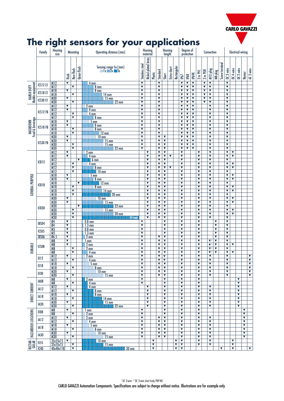

# **The right sensors for your applications**

|                                      | Family          | Housing<br>size             |                              | <b>Mounting</b>                                    |                      | Operating distance [mm]                                  |                                                    | <b>Housing</b><br>material |                         | Housing<br>length                                  |                                                    |             | Degree of<br>protection   |                                                    |        |                                              | Connection                   |                                                    |                                                 |                                                 |                | <b>Electrical wiring</b>                           |                              |                                                    |                              |                                                 |
|--------------------------------------|-----------------|-----------------------------|------------------------------|----------------------------------------------------|----------------------|----------------------------------------------------------|----------------------------------------------------|----------------------------|-------------------------|----------------------------------------------------|----------------------------------------------------|-------------|---------------------------|----------------------------------------------------|--------|----------------------------------------------|------------------------------|----------------------------------------------------|-------------------------------------------------|-------------------------------------------------|----------------|----------------------------------------------------|------------------------------|----------------------------------------------------|------------------------------|-------------------------------------------------|
|                                      |                 |                             | flush                        | Non-flush                                          | Quasi-flush          | Sensing range Sn [mm]<br>Ix 2x 3x                        | Stainless steel                                    | Nickel-plated brass        | Plastic                 | Standard                                           | Short                                              | Extra-short | Rectangular               | IP67                                               | IP68   | IP69K                                        | 2 m PVC                      | $2 m$ PUR                                          | $M12$ -plug                                     | M8-plug                                         | Screw terminal | DC3-wire                                           | DC 4-wire                    | DC 2-wire                                          | Namur                        | AC 2-wire                                       |
| HARSH DUTY<br> Mobile equipment      | ICS12 E1        | M12<br>$\frac{1}{M12}$      | $\overline{\textbf{v}}$      | ▼                                                  |                      | 4 <sub>mm</sub><br>8 <sub>mm</sub>                       | $\overline{\textbf{v}}$<br>$\overline{\mathbf{v}}$ |                            |                         | $\overline{\mathbf{v}}$<br>$\overline{\mathbf{v}}$ |                                                    |             |                           | $\overline{\mathbf{v}}$<br>$\overline{\mathbf{v}}$ | ▼<br>V | $\overline{\mathbf{v}}$<br>V                 |                              | $\overline{\mathbf{v}}$<br>$\overline{\mathbf{v}}$ | v<br>V                                          |                                                 |                | $\overline{\mathbf{v}}$<br>$\overline{\mathbf{v}}$ |                              |                                                    |                              |                                                 |
|                                      | ICS18 E1        | M18<br>M18                  | ▼                            | $\overline{\mathbf{v}}$                            |                      | $8 \text{ mm}$                                           | $\overline{\textbf{v}}$<br>v                       |                            |                         | $\blacktriangledown$<br>▼                          |                                                    |             |                           | ▼<br>▼                                             | ▼<br>▼ | $\blacktriangledown$<br>▼                    |                              | ▼<br>$\blacktriangledown$                          | ▼<br>▼                                          |                                                 |                | ▼<br>$\overline{\mathbf{v}}$                       |                              |                                                    |                              |                                                 |
|                                      | <b>ICS30 E1</b> | <b>M30</b>                  | ▼                            |                                                    |                      | $14 \text{ mm}$<br>$15 \text{ mm}$                       | $\overline{\textbf{v}}$                            |                            |                         | $\overline{\mathbf{v}}$                            |                                                    |             |                           | ▼                                                  | V      | ▼                                            |                              | $\blacktriangledown$                               | $\blacktriangledown$                            |                                                 |                | $\overline{\mathbf{v}}$                            |                              |                                                    |                              |                                                 |
|                                      |                 | M30<br>M12                  | V                            | ▼                                                  |                      | $22 \text{ mm}$<br>2 <sub>mm</sub>                       | ▼<br>$\overline{\mathbf{v}}$                       |                            |                         | ▼<br>v                                             |                                                    |             |                           | ▼<br>▼                                             | ▼<br>▼ | V<br>▼                                       |                              | ▼                                                  | ▼<br>▼                                          |                                                 |                | ▼<br>$\overline{\mathbf{v}}$                       |                              |                                                    |                              |                                                 |
|                                      | ICS12FB         | M12                         | $\overline{\textbf{v}}$      | ▼                                                  |                      | 4 mm<br>4 mm                                             | $\overline{\mathbf{v}}$<br>$\overline{\textbf{v}}$ |                            |                         | $\overline{\mathbf{v}}$<br>▼                       |                                                    |             |                           | ▼<br>▼                                             | V<br>▼ | V<br>$\overline{\mathbf{v}}$                 |                              |                                                    | ▼<br>▼                                          |                                                 |                | $\overline{\mathbf{v}}$<br>$\overline{\mathbf{v}}$ |                              |                                                    |                              |                                                 |
|                                      |                 | M12<br>M12                  |                              | $\overline{\mathbf{v}}$                            |                      | $8 \text{ mm}$                                           | ▼                                                  |                            |                         | ▼                                                  |                                                    |             |                           | ▼                                                  | ▼      | V                                            |                              |                                                    | ▼                                               |                                                 |                | ▼                                                  |                              |                                                    |                              |                                                 |
| WASHDOWN<br>Food & beverage          |                 | M18<br>M18                  | ▼<br>$\overline{\textbf{v}}$ |                                                    |                      | $5 \text{ mm}$<br>8 mm                                   | $\overline{\mathbf{v}}$<br>▼                       |                            |                         | $\blacktriangledown$<br>▼                          |                                                    |             |                           | ▼<br>▼                                             | ▼<br>▼ | ▼<br>▼                                       |                              |                                                    | ▼<br>▼                                          |                                                 |                | $\overline{\mathbf{v}}$<br>▼                       |                              |                                                    |                              |                                                 |
|                                      | ICS18FB         | M18                         |                              | $\blacktriangledown$                               |                      | $8 \text{ mm}$                                           | V                                                  |                            |                         | ▼                                                  |                                                    |             |                           | ▼                                                  | ▼      | V                                            |                              |                                                    | ▼                                               |                                                 |                | V                                                  |                              |                                                    |                              |                                                 |
|                                      |                 | M18<br>M30                  | ▼                            | $\overline{\mathbf{v}}$                            |                      | $12 \text{ mm}$<br>10 <sub>mm</sub>                      | $\overline{\mathbf{v}}$<br>V                       |                            |                         | v<br>$\blacktriangledown$                          | V                                                  |             |                           | ▼<br>▼                                             | ▼<br>V | ▼<br>V                                       |                              |                                                    | ▼<br>▼                                          |                                                 |                | $\overline{\mathbf{v}}$<br>V                       |                              |                                                    |                              |                                                 |
|                                      | ICS30 FB        | <b>M30</b>                  | $\overline{\mathbf{v}}$      |                                                    |                      | $\frac{15 \text{ mm}}{15 \text{ mm}}$                    | $\overline{\mathbf{v}}$                            |                            |                         | ▼                                                  | ▼                                                  |             |                           | ▼                                                  | ▼      | $\blacktriangledown$                         |                              |                                                    | ▼                                               |                                                 |                | ▼                                                  |                              |                                                    |                              |                                                 |
|                                      |                 | M30<br><b>M30</b>           |                              | $\overline{\mathbf{v}}$<br>$\overline{\mathbf{v}}$ |                      | $22 \text{ mm}$                                          | $\overline{\mathbf{v}}$<br>$\overline{\textbf{v}}$ |                            |                         | ▼<br>▼                                             | ▼<br>V                                             |             |                           | ▼<br>▼                                             | ▼<br>▼ | $\blacktriangledown$<br>$\blacktriangledown$ |                              |                                                    | ▼<br>▼                                          |                                                 |                | $\overline{\mathbf{v}}$<br>$\blacktriangledown$    |                              |                                                    |                              |                                                 |
|                                      |                 | M12                         | $\overline{\mathbf{v}}$      |                                                    |                      | $2 \text{ mm}$                                           |                                                    | ▼                          |                         | ▼                                                  | ▼                                                  |             |                           | ▼                                                  |        |                                              | ▼                            |                                                    | ▼                                               |                                                 |                | ▼                                                  | ▼<br>$\overline{\mathbf{v}}$ |                                                    |                              |                                                 |
|                                      |                 | M12<br>M12                  | $\overline{\mathbf{v}}$      |                                                    | $\blacktriangledown$ | $\frac{4}{4}$ mm<br>$6 \text{ mm}$                       |                                                    | ▼<br>▼                     |                         | ▼<br>▼                                             | ▼<br>V                                             | ▼           |                           | $\overline{\mathbf{v}}$<br>▼                       |        |                                              | $\overline{\mathbf{v}}$<br>▼ |                                                    | ▼<br>▼                                          |                                                 |                | $\overline{\mathbf{v}}$<br>▼                       |                              |                                                    |                              |                                                 |
|                                      | ICB12           | M12<br>M12                  |                              | $\overline{\mathbf{v}}$<br>$\overline{\mathbf{v}}$ |                      | 4 mm                                                     |                                                    | ▼<br>▼                     |                         | ▼<br>▼                                             | ▼<br>▼                                             | ▼           |                           | $\overline{\mathbf{v}}$<br>$\overline{\mathbf{v}}$ |        |                                              | ▼<br>▼                       |                                                    | ▼<br>▼                                          |                                                 |                | $\blacktriangledown$<br>▼                          | ▼<br>▼                       |                                                    |                              |                                                 |
|                                      |                 | M12                         |                              | $\overline{\mathbf{v}}$                            |                      | $\frac{8}{2}$ mm<br>$10 \text{ mm}$                      |                                                    | ▼                          |                         | ▼                                                  | ▼                                                  |             |                           | ▼                                                  |        |                                              | ▼                            |                                                    | ▼                                               |                                                 |                | ▼                                                  |                              |                                                    |                              |                                                 |
|                                      |                 | M18<br>M18                  | V<br>$\overline{\textbf{v}}$ |                                                    |                      | $\frac{5 \text{ mm}}{8 \text{ mm}}$                      |                                                    | ▼<br>▼                     |                         | $\blacktriangledown$<br>▼                          | V<br>V                                             |             |                           | ▼<br>▼                                             |        |                                              | ▼<br>▼                       |                                                    | $\blacktriangledown$<br>▼                       |                                                 |                | V<br>▼                                             | ▼<br>▼                       |                                                    |                              |                                                 |
|                                      | ICB18           | M18                         |                              |                                                    | $\blacktriangledown$ | $12 \text{ mm}$                                          |                                                    | v                          |                         | ▼                                                  | ▼                                                  |             |                           | $\overline{\mathbf{v}}$                            |        |                                              | ▼                            |                                                    | $\overline{\mathbf{v}}$                         |                                                 |                | $\overline{\mathbf{v}}$                            |                              |                                                    |                              |                                                 |
| <b>GENERAL PURPOSE</b>               |                 | M18<br>M18                  |                              | ▼<br>▼                                             |                      | 8 <sub>mm</sub><br>$14 \text{ mm}$                       |                                                    | ▼<br>▼                     |                         | $\overline{\mathbf{v}}$<br>▼                       | $\overline{\textbf{v}}$<br>▼                       |             |                           | $\overline{\mathbf{v}}$<br>▼                       |        |                                              | ▼<br>▼                       |                                                    | ▼<br>▼                                          |                                                 |                | $\blacktriangledown$<br>▼                          | ▼<br>▼                       |                                                    |                              |                                                 |
|                                      |                 | <b>M18</b>                  |                              | $\overline{\mathbf{v}}$                            |                      | $20 \text{ mm}$                                          |                                                    | ▼                          |                         | ▼                                                  | ▼                                                  |             |                           | ▼                                                  |        |                                              | ▼                            |                                                    | ▼                                               |                                                 |                | ▼                                                  |                              |                                                    |                              |                                                 |
|                                      |                 | M30<br>M30                  | $\blacktriangledown$<br>▼    |                                                    |                      | $10 \text{ mm}$<br>$15 \text{ mm}$                       |                                                    | ▼<br>▼                     |                         | $\overline{\mathbf{v}}$<br>▼                       | V<br>▼                                             |             |                           | ▼<br>▼                                             |        |                                              | ▼<br>▼                       |                                                    | ▼<br>▼                                          |                                                 |                | ▼<br>▼                                             | V<br>▼                       |                                                    |                              |                                                 |
|                                      | ICB30           | M30                         |                              |                                                    | ▼                    | $22 \text{ mm}$                                          |                                                    | ▼                          |                         | ▼                                                  | ▼                                                  |             |                           | ▼                                                  |        |                                              | ▼                            |                                                    | ▼                                               |                                                 |                | ▼                                                  |                              |                                                    |                              |                                                 |
|                                      |                 | <b>M30</b><br>M30           |                              | $\overline{\mathbf{v}}$<br>$\overline{\mathbf{v}}$ |                      | $15 \text{ mm}$<br>$20$ mm                               |                                                    | ▼<br>▼                     |                         | $\blacktriangledown$<br>▼                          | $\overline{\mathbf{v}}$<br>▼                       |             |                           | ▼<br>▼                                             |        |                                              | ▼<br>▼                       |                                                    | ▼<br>▼                                          |                                                 |                | ▼<br>▼                                             | ▼<br>▼                       |                                                    |                              |                                                 |
|                                      |                 | <b>M30</b>                  |                              | $\overline{\mathbf{v}}$                            |                      |                                                          |                                                    | ▼                          |                         | $\blacktriangledown$                               | ▼                                                  |             |                           | ▼                                                  |        |                                              | ▼                            |                                                    | ▼                                               |                                                 |                | ▼                                                  |                              |                                                    |                              |                                                 |
|                                      | IBS04           | 04<br>$\overline{04}$       | ▼<br>V                       |                                                    |                      | $0.8$ mm<br>$1.3 \text{ mm}$                             | ▼<br>V                                             |                            |                         |                                                    | ▼<br>▼                                             |             |                           | ▼<br>▼                                             |        |                                              | ▼<br>▼                       |                                                    |                                                 | ▼<br>▼                                          |                | ▼<br>▼                                             |                              |                                                    |                              |                                                 |
|                                      | ICS05           | M <sub>5</sub>              | ▼<br>$\overline{\textbf{v}}$ |                                                    |                      | 0.8 <sub>mm</sub>                                        | ▼<br>$\overline{\mathbf{v}}$                       |                            |                         |                                                    | V<br>$\overline{\mathbf{v}}$                       |             |                           | ▼<br>▼                                             |        |                                              | ▼<br>▼                       |                                                    |                                                 | V<br>$\overline{\mathbf{v}}$                    |                | V<br>$\overline{\mathbf{v}}$                       |                              |                                                    |                              |                                                 |
|                                      | IBS06           | M <sub>5</sub><br>06.5      | ▼                            |                                                    |                      | $1.3 \text{ mm}$<br>2 mm                                 | $\overline{\textbf{v}}$                            |                            |                         | ▼                                                  | V                                                  |             |                           | ▼                                                  |        |                                              | ▼                            |                                                    |                                                 | ▼                                               |                | $\blacktriangledown$                               |                              |                                                    |                              |                                                 |
|                                      |                 | M8<br>M <sub>8</sub>        | V<br>$\overline{\mathbf{v}}$ |                                                    |                      | mm<br>$2 \text{ mm}$                                     | ▼<br>$\overline{\mathbf{v}}$                       |                            |                         | ▼<br>▼                                             | V<br>$\overline{\mathbf{v}}$                       |             |                           | ▼<br>$\overline{\mathbf{v}}$                       |        |                                              | ▼<br>▼                       |                                                    | $\Psi^2$<br>$\Psi^2$                            | $\blacktriangledown$<br>$\overline{\mathbf{v}}$ |                | ▼<br>$\overline{\mathbf{v}}$                       | $\overline{\mathbf{v}}$      |                                                    |                              |                                                 |
| <b>DURABLE</b>                       | ICS08           | M <sub>8</sub>              |                              | $\blacktriangledown$                               |                      | 2 <sub>mm</sub>                                          | ▼                                                  |                            |                         | ▼                                                  | V                                                  |             |                           | ▼                                                  |        |                                              | ▼                            |                                                    | $\Psi^2$                                        | ▼                                               |                | ▼                                                  |                              |                                                    |                              |                                                 |
|                                      |                 | M8<br>M12                   | ▼                            | $\overline{\mathbf{v}}$                            |                      | 4 <sub>mm</sub><br>2 <sub>mm</sub>                       | $\overline{\mathbf{v}}$<br>$\overline{\mathbf{v}}$ |                            |                         | $\overline{\mathbf{v}}$<br>▼                       | V<br>$\blacktriangledown$ 1                        |             |                           | $\overline{\mathbf{v}}$<br>▼                       |        |                                              | ▼<br>▼                       |                                                    | $\Psi^2$<br>▼                                   | $\overline{\mathbf{v}}$                         |                | $\blacktriangledown$<br>$\overline{\mathbf{v}}$    | ▼                            |                                                    |                              | ▼                                               |
|                                      | <b>EI12</b>     | M12                         |                              | ▼                                                  |                      | $\overline{4}$ mm                                        | $\overline{\textbf{v}}$                            |                            |                         | ▼                                                  | $\blacktriangledown$ 1                             |             |                           | $\overline{\mathbf{v}}$                            |        |                                              | V                            |                                                    | $\overline{\textbf{v}}$                         |                                                 |                | $\overline{\mathbf{v}}$                            |                              |                                                    |                              | $\overline{\textbf{v}}$                         |
|                                      | EI18            | M18<br>M18                  | $\blacktriangledown$         | $\blacktriangledown$                               |                      | $5 \, \mathrm{mm}$<br>8 <sub>mm</sub>                    | $\overline{\textbf{v}}$<br>$\overline{\mathbf{v}}$ |                            |                         | $\blacktriangledown$<br>$\blacktriangledown$       | $\overline{\mathbf{v}}$<br>$\blacktriangledown$    |             |                           | $\blacktriangledown$<br>▼                          |        |                                              | $\blacktriangledown$<br>▼    |                                                    | $\overline{\textbf{v}}$<br>▼                    |                                                 |                | $\blacktriangledown$<br>$\blacktriangledown$       |                              |                                                    |                              | $\overline{\mathbf{v}}$<br>$\blacktriangledown$ |
|                                      | E130            | M30                         | $\overline{\mathbf{v}}$      |                                                    |                      | $\blacksquare$ 10 mm                                     | $\overline{\textbf{v}}$                            |                            |                         | $\overline{\mathbf{v}}$                            | $\overline{\textbf{v}}$                            |             |                           | $\blacktriangledown$                               |        |                                              | ▼                            |                                                    | ▼                                               |                                                 |                | ▼                                                  |                              |                                                    |                              | $\overline{\textbf{v}}$                         |
|                                      |                 | M30<br>M8                   | $\overline{\mathbf{v}}$      | $\blacktriangledown$                               |                      | $15 \text{ mm}$<br><u> Termini i p</u><br>$2 \text{ mm}$ | $\blacktriangledown$<br>▼                          |                            |                         | $\blacktriangledown$                               | $\blacktriangledown$<br>$\overline{\mathbf{v}}$    |             |                           | $\blacktriangledown$<br>▼                          |        |                                              | $\blacktriangledown$<br>V    |                                                    | ▼                                               |                                                 |                | $\blacktriangledown$                               |                              | ▼                                                  |                              | $\blacktriangledown$                            |
|                                      | IA08            | M8                          | $\blacktriangledown$         | $\blacktriangledown$                               |                      | $4 \text{ mm}$                                           | ▼                                                  |                            |                         |                                                    | ▼<br>$\overline{\textbf{v}}$                       |             |                           | ▼<br>$\overline{\mathbf{v}}$                       |        |                                              | V                            |                                                    |                                                 |                                                 |                |                                                    |                              | $\overline{\mathbf{v}}$<br>$\overline{\textbf{v}}$ |                              |                                                 |
| <b>DIRECT CURRENT</b>                | IA12            | M12<br>M12                  |                              | V                                                  |                      | 4 mm<br><b>11 8 mm</b>                                   |                                                    | ▼<br>▼                     |                         |                                                    | ▼                                                  |             |                           | ▼                                                  |        |                                              | $\blacktriangledown$<br>V    |                                                    | ▼<br>▼                                          |                                                 |                |                                                    |                              | $\blacktriangledown$                               |                              |                                                 |
|                                      | IA18            | M18<br>M18                  | $\blacktriangledown$         | $\blacktriangledown$                               |                      | $8 \text{ mm}$                                           |                                                    | V<br>▼                     |                         |                                                    | $\blacktriangledown$<br>▼                          |             |                           | $\overline{\mathbf{v}}$<br>$\blacktriangledown$    |        |                                              | V<br>$\overline{\mathbf{v}}$ |                                                    | V<br>$\overline{\mathbf{v}}$                    |                                                 |                |                                                    |                              | $\blacktriangledown$<br>▼                          |                              |                                                 |
|                                      | IA30            | M30                         | $\overline{\mathbf{v}}$      |                                                    |                      | $\frac{14 \text{ mm}}{15 \text{ mm}}$                    |                                                    | ▼                          |                         |                                                    | $\overline{\mathbf{v}}$                            |             |                           | ▼                                                  |        |                                              | ▼                            |                                                    | V                                               |                                                 |                |                                                    |                              | $\blacktriangledown$                               |                              |                                                 |
|                                      |                 | M30<br>M8                   | $\overline{\mathbf{v}}$      | $\blacktriangledown$                               |                      | $\frac{1}{22}$ mm<br>$1 \text{ mm}$                      | $\overline{\mathbf{v}}$                            | $\overline{\mathbf{v}}$    |                         |                                                    | $\overline{\textbf{v}}$<br>$\overline{\mathbf{v}}$ |             |                           | $\overline{\mathbf{v}}$<br>$\blacktriangledown$    |        |                                              | V<br>V                       |                                                    | ▼                                               |                                                 |                |                                                    |                              | $\overline{\mathbf{v}}$                            | ▼                            |                                                 |
| RECTAN- HAZARDOUS LOCATIONS<br>GULAR | <b>EI08</b>     | M8                          |                              | ▼                                                  |                      | 2 <sub>mm</sub>                                          | V                                                  |                            |                         |                                                    | $\overline{\textbf{v}}$                            |             |                           | $\overline{\mathbf{v}}$                            |        |                                              | ▼                            |                                                    |                                                 |                                                 |                |                                                    |                              |                                                    | ▼                            |                                                 |
|                                      | IA12            | M12<br>M12                  | $\blacktriangledown$         | $\blacktriangledown$                               |                      | 2 <sub>mm</sub><br>$4 \text{ mm}$                        | V<br>$\overline{\textbf{v}}$                       |                            |                         | $\blacktriangledown$<br>$\overline{\mathbf{v}}$    | V<br>$\overline{\textbf{v}}$                       |             |                           | ▼<br>$\blacktriangledown$                          |        |                                              | V<br>$\overline{\mathbf{v}}$ |                                                    | ▼<br>$\overline{\textbf{v}}$                    |                                                 |                |                                                    |                              |                                                    | V<br>$\overline{\textbf{v}}$ |                                                 |
|                                      | IA18            | M18                         | $\blacktriangledown$         |                                                    |                      | $5 \text{ mm}$                                           | V                                                  |                            |                         | $\blacktriangledown$                               | $\blacktriangledown$                               |             |                           | $\overline{\mathbf{v}}$                            |        |                                              | V                            |                                                    | ▼                                               |                                                 |                |                                                    |                              |                                                    | ▼                            |                                                 |
|                                      |                 | M18<br>M30                  | $\overline{\mathbf{v}}$      | ▼                                                  |                      | 8 <sub>mm</sub><br>$10 \text{ mm}$                       | $\overline{\mathbf{v}}$<br>$\overline{\mathbf{v}}$ |                            |                         | $\blacktriangledown$<br>$\overline{\mathbf{v}}$    | $\blacktriangledown$<br>$\overline{\mathbf{v}}$    |             |                           | $\overline{\mathbf{v}}$<br>▼                       |        |                                              | V<br>▼                       |                                                    | $\blacktriangledown$<br>$\overline{\mathbf{v}}$ |                                                 |                |                                                    |                              |                                                    | V<br>V                       |                                                 |
|                                      | <b>IA30</b>     | <b>M30</b>                  |                              | $\blacktriangledown$                               |                      | $\blacksquare$ 15 mm                                     | $\overline{\textbf{v}}$                            |                            |                         | $\blacktriangledown$                               | $\overline{\mathbf{v}}$                            |             |                           | $\overline{\mathbf{v}}$                            |        |                                              | V                            |                                                    | $\blacktriangledown$                            |                                                 |                |                                                    |                              |                                                    | $\overline{\textbf{v}}$      |                                                 |
|                                      | E155            | $\frac{35x55x15}{35x55x15}$ | $\overline{\mathbf{v}}$      | $\blacktriangledown$                               |                      | 10 mm<br>11 15 mm                                        |                                                    |                            | ▼<br>▼                  |                                                    |                                                    |             | ▼<br>$\blacktriangledown$ | $\blacktriangledown$<br>$\blacktriangledown$       |        |                                              | ▼<br>▼                       |                                                    | ▼<br>▼                                          |                                                 |                |                                                    | ▼<br>▼                       |                                                    |                              |                                                 |
|                                      | IC40            |                             |                              | $\overline{\textbf{v}}$                            |                      | <b>THEFT 30 mm</b>                                       |                                                    |                            | $\overline{\textbf{v}}$ |                                                    |                                                    |             | $\overline{\textbf{v}}$   | $\overline{\mathbf{v}}$                            |        |                                              |                              |                                                    |                                                 |                                                 | ▼              |                                                    | ▼                            |                                                    |                              | $\overline{\mathbf{v}}$                         |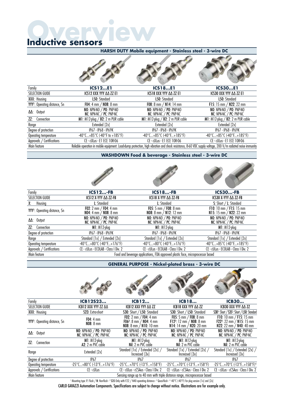# **Overview Inductive sensors**

| Family                                    | <b>ICS12E1</b>                                                                                                                                              | <b>ICS18E1</b>                                                      | <b>ICS30E1</b>                                                      |
|-------------------------------------------|-------------------------------------------------------------------------------------------------------------------------------------------------------------|---------------------------------------------------------------------|---------------------------------------------------------------------|
| SELECTION GUIDE                           | ICS12 XXX YYY AA ZZ E1                                                                                                                                      | ICS18 XXX YYY AA ZZ E1                                              | ICS30 XXX YYY AA ZZ E1                                              |
| XXX: Housing                              | L50: Standard                                                                                                                                               | L50: Standard                                                       | L50: Standard                                                       |
| YYY <sup>1</sup> : Operating distance, Sn | F04: 4 mm / $N08: 8$ mm                                                                                                                                     | F08: 8 mm / N14: 14 mm                                              | F15: 15 mm $/$ N22: 22 mm                                           |
| $\Delta\Delta$ : Output                   | NO: NPN-NO $/$ PO: PNP-NO<br>$NC: NPN-NC$ / $PC: PNP-NC$                                                                                                    | NO: NPN-NO $/$ PO: PNP-NO<br>$NC: NPN-NC$ / $PC: PNP-NC$            | NO: NPN-NO $/$ PO: PNP-NO<br>$NC: NPN-NC'/PC: PNP-NC$               |
| ZZ:<br>Connection                         | M1: $M12$ -plug / B2: 2 m PUR cable                                                                                                                         | M1: $M12$ -plug / B2: 2 m PUR cable                                 | M1: $M12$ -plug / B2: 2 m PUR cable                                 |
| Range                                     | Extended [2x]                                                                                                                                               | Extended [2x]                                                       | Extended [2x]                                                       |
| Degree of protection                      | IP67 - IP68 - IP69K                                                                                                                                         | IP67 - IP68 - IP69K                                                 | IP67 - IP68 - IP69K                                                 |
| Operating temperature                     | $-40^{\circ}$ C+85 $^{\circ}$ C (-40 $^{\circ}$ F to +185 $^{\circ}$ F)                                                                                     | $-40^{\circ}$ C+85 $^{\circ}$ C (-40 $^{\circ}$ F+185 $^{\circ}$ F) | $-40^{\circ}$ C+85 $^{\circ}$ C (-40 $^{\circ}$ F+185 $^{\circ}$ F) |
| Approvals / Certifications                | CE - cULus - E1 ECE 10R-06                                                                                                                                  | CE - cULus - E1 ECE 10R-06                                          | CE - cULus - E1 ECE 10R-06                                          |
| Main feature                              | Reliable operation in mobile equipment. Load-dump protection, high vibration and shock resistance, 8-60 VDC supply voltage, 200 V/m radiated noise immunity |                                                                     |                                                                     |

## **HARSH DUTY Mobile equipment - Stainless steel - 3-wire DC**

**WASHDOWN Food & beverage - Stainless steel - 3-wire DC**

| Family                                    | <b>ICS12-FB</b>                                                            | <b>ICS18-FB</b>                                                                 | <b>ICS30-FB</b>                                                     |
|-------------------------------------------|----------------------------------------------------------------------------|---------------------------------------------------------------------------------|---------------------------------------------------------------------|
| SELECTION GUIDE                           | ICS12 X-YYY AA ZZ-FB                                                       | ICS18 X-YYY AA ZZ-FB                                                            | ICS30 X-YYY AA ZZ-FB                                                |
| Housing<br>Х:                             | L: Standard                                                                | L: Standard                                                                     | S: Short / L: Standard                                              |
| YYY <sup>1</sup> : Operating distance, Sn | F02: $2 \text{ mm} / \text{F04}$ : $4 \text{ mm}$<br>NO4: 4 mm / NO8: 8 mm | F05: 5 mm $/$ F08: 8 mm<br><b>NO8:</b> 8 mm $/$ <b>N12:</b> 12 mm               | F10: 10 mm / F15: 15 mm<br>N15: 15 mm / N22: 22 mm                  |
| $\Delta\Delta$ : Output                   | NO: NPN-NO / PO: PNP-NO<br>$NC: NPN-NC' / PC: PNP-NC$                      | NO: $NPN-NO$ / PO: $PNP-NO$<br>NC: NPN-NC / PC: PNP-NC                          | NO: NPN-NO / PO: PNP-NO<br>NC: NPN-NC / PC: PNP-NC                  |
| $Z\mathcal{I}$ :<br>Connection            | $MI: M12$ -plug                                                            | $MI: M12$ -plug                                                                 | $MI: M12$ -plug                                                     |
| Degree of protection                      | IP67 - IP68 - IP69K                                                        | IP67 - IP68 - IP69K                                                             | IP67 - IP68 - IP69K                                                 |
| Range                                     | Standard [1x] / Extended [2x]                                              | Standard [1x] / Extended [2x]                                                   | Standard [1x] / Extended [2x]                                       |
| Operating temperature                     | $-40^{\circ}$ C+80 $^{\circ}$ C (-40 $^{\circ}$ F+176 $^{\circ}$ F)        | $-40^{\circ}$ C+80 $^{\circ}$ C (-40 $^{\circ}$ F+176 $^{\circ}$ F)             | $-40^{\circ}$ C+85 $^{\circ}$ C (-40 $^{\circ}$ F+185 $^{\circ}$ F) |
| Approvals / Certifications                | CE - cULus - ECOLAB - Class I Div. 2                                       | CE - cULus - ECOLAB - Class I Div. 2                                            | CE - cULus - ECOLAB - Class I Div. 2                                |
| Main feature                              |                                                                            | Food and beverage applications, FDA approved plastic face, microprocessor based |                                                                     |

**GENERAL PURPOSE - Nickel-plated brass - 3-wire DC**

з.

| Family                                    | ICB12S23                                                            | <b>ICB12</b>                                                                                                                         | <b>ICB18</b>                                                                                                 | <b>ICB30</b>                                                                                    |
|-------------------------------------------|---------------------------------------------------------------------|--------------------------------------------------------------------------------------------------------------------------------------|--------------------------------------------------------------------------------------------------------------|-------------------------------------------------------------------------------------------------|
| <b>SELECTION GUIDE</b>                    | ICB12 XXX YYY ZZ AA                                                 | ICB12 XXX YYY AA ZZ                                                                                                                  | ICB18 XXX YYY AA ZZ                                                                                          | ICB30 XXX YYY AA ZZ                                                                             |
| XXX: Housing                              | S23: Extra-short                                                    | S30: Short / L50: Standard                                                                                                           | S30: Short $\angle$ L50: Standard                                                                            | S30 <sup>1</sup> : Short / S35 <sup>2</sup> : Short / L50: Standard                             |
| YYY <sup>1</sup> : Operating distance, Sn | $F04:4 \, \text{mm}$<br>$N08:8$ mm                                  | F02: $2 \text{ mm} / \text{F04}$ : $4 \text{ mm}$<br>F06 <sup>3</sup> : 8 mm $/$ N04: 4 mm<br><b>N08:</b> 8 mm $/$ <b>N10:</b> 10 mm | <b>F05:</b> 5 mm $/$ <b>F08:</b> 8 mm<br>F12 <sup>3</sup> : 12 mm $/$ N08: 8 mm<br>N14: 14 mm $/$ N20: 20 mm | F10: 10 mm / F15: 15 mm<br>F22 <sup>3</sup> : 22 mm $/$ N15: 15 mm<br>N22: 22 mm $/$ N40: 40 mm |
| $\Delta\Delta$ : Output                   | NO: NPN-NO $/$ PO: PNP-NO<br>$NC: NPN-NC \neq PC: PNP-NC$           | NO: NPN-NO / PO: PNP-NO<br>$NC: NPN-NC \times PC: PNP-NC$                                                                            | NO: NPN-NO $/$ PO: PNP-NO<br>$NC: NPN-NC \times PC: PNP-NC$                                                  | NO: NPN-NO $/$ PO: PNP-NO<br>$NC: NPN-NC \times PC: PNP-NC$                                     |
| $77^{\circ}$<br>Connection                | $MI: M12$ -plug<br>$A2: 2 m$ PVC cable                              | $MI: M12$ -plug<br>Nil: 2 m PVC cable                                                                                                | $MI: M12$ -plug<br>$Nil: 2 m$ PVC cable                                                                      | $MI: M12$ -plug<br>Nil: 2 m PVC cable                                                           |
| Range                                     | Extended [2x]                                                       | Standard [1x] / Extended [2x] /<br>Increased [3x]                                                                                    | Standard [1x] / Extended [2x] /<br>Increased [3x]                                                            | Standard [1x] / Extended [2x] /<br>Increased [3x]                                               |
| Degree of protection                      | IP67                                                                | IP67                                                                                                                                 | IP67                                                                                                         | IP67                                                                                            |
| Operating temperature                     | $-25^{\circ}$ C+80 $^{\circ}$ C ( $-13^{\circ}$ F+176 $^{\circ}$ F) | $-25^{\circ}$ C+70 $^{\circ}$ C ( $-13^{\circ}$ F+158 $^{\circ}$ F)                                                                  | $-25^{\circ}$ C+70°C ( $-13^{\circ}$ F+158°F)                                                                | $-25^{\circ}$ C+70 $^{\circ}$ C ( $-13^{\circ}$ E+158 $^{\circ}$ F) <sup>4</sup>                |
| Approvals / Certifications                | CE - cULus                                                          | CE - cULus - cCSAus - Class I Div. 2                                                                                                 | CE - cULus - cCSAus - Class I Div. 2                                                                         | CE - cULus - cCSAus - Class   Div. 2                                                            |
| Main feature                              |                                                                     | Sensing range up to 40 mm with triple distance range, microprocessor based                                                           |                                                                                                              |                                                                                                 |

l Mounting type: F: Flush / N: Non-flush - <sup>2</sup> S35 Only with F22 / N40 operating distance - 3 Quasi-flush - 4-40°C (-40°F) for plug version [1x] and [2x]

CARLO GAVAZZI Automation Components. Specifications are subject to change without notice. Illustrations are for example only.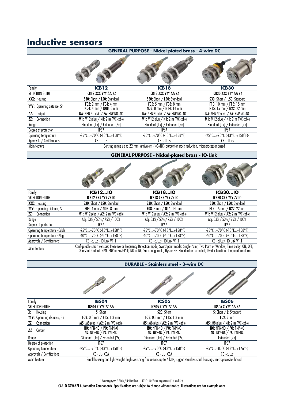# **Inductive sensors**

|                                           |                                                                     | <b>GENERAL PURPOSE - Nickel-plated brass - 4-wire DC</b>                                       |                                                    |
|-------------------------------------------|---------------------------------------------------------------------|------------------------------------------------------------------------------------------------|----------------------------------------------------|
|                                           |                                                                     |                                                                                                |                                                    |
| Family                                    | ICB12                                                               | <b>ICB18</b>                                                                                   | <b>ICB30</b>                                       |
| SELECTION GUIDE                           | ICB12 XXX YYY AA ZZ                                                 | ICB18 XXX YYY AA ZZ                                                                            | ICB30 XXX YYY AA ZZ                                |
| XXX: Housing                              | S30: Short / L50: Standard                                          | S30: Short / L50: Standard                                                                     | S30: Short / L50: Standard                         |
| YYY <sup>1</sup> : Operating distance, Sn | <b>F02:</b> 2 mm $/$ <b>F04:</b> 4 mm<br>NO4: 4 mm / NO8: 8 mm      | $F05: 5 \, \text{mm}$ / $F08: 8 \, \text{mm}$<br><b>NO8:</b> 8 mm $/$ N14: 14 mm               | F10: 10 mm / F15: 15 mm<br>N15: 15 mm / N22: 22 mm |
| $\Delta\Delta$ : Output                   | NA: NPN-NO+NC $/$ PA: PNP-NO+NC                                     | NA: NPN-NO+NC $/$ PA: PNP-NO+NC                                                                | NA: NPN-NO+NC $/$ PA: PNP-NO+NC                    |
| ZZ:<br>Connection                         | M1: M12-plug / Nil: 2 m PVC cable                                   | M1: M12-plug / Nil: 2 m PVC cable                                                              | M1: M12-plug / Nil: 2 m PVC cable                  |
| Range                                     | Standard [1x] / Extended [2x]                                       | Standard [1x] / Extended [2x]                                                                  | Standard [1x] / Extended [2x]                      |
| Degree of protection                      | <b>IP67</b>                                                         | <b>IP67</b>                                                                                    | IP67                                               |
| Operating temperature                     | $-25^{\circ}$ C+70 $^{\circ}$ C ( $-13^{\circ}$ F+158 $^{\circ}$ F) | $-25^{\circ}$ C+70 $^{\circ}$ C (-13 $^{\circ}$ F+158 $^{\circ}$ F)                            | -25°C+70°C (-13°F+158°F) <sup>2</sup>              |
| Approvals / Certifications                | CE - cULus                                                          | $CE - cULus$                                                                                   | CE - cULus                                         |
| Main feature                              |                                                                     | Sensing range up to 22 mm, antivalent (NO+NC) output for stock reduction, microprocessor based |                                                    |

### **GENERAL PURPOSE - Nickel-plated brass - IO-Link**

 $\sqrt{2}$ 

Commercial Property

**Callida** 

| Family                                    | <b>ICB12IO</b>                                                      | <b>ICB18IO</b>                                                                                                                                                                                                                                                                            | <b>ICB30IO</b>                                                      |
|-------------------------------------------|---------------------------------------------------------------------|-------------------------------------------------------------------------------------------------------------------------------------------------------------------------------------------------------------------------------------------------------------------------------------------|---------------------------------------------------------------------|
| SELECTION GUIDE                           | ICB12 XXX YYY ZZ 10                                                 | ICB18 XXX YYY ZZ IO                                                                                                                                                                                                                                                                       | ICB30 XXX YYY ZZ IO                                                 |
| XXX: Housing                              | S30: Short $\angle$ L50: Standard                                   | S30: Short $\angle$ L50: Standard                                                                                                                                                                                                                                                         | S30: Short / L50: Standard                                          |
| YYY <sup>1</sup> : Operating distance, Sn | F04: 4 mm / $N08: 8$ mm                                             | <b>F08:</b> 8 mm / N14: 14 mm                                                                                                                                                                                                                                                             | F15: 15 mm / $N22: 22$ mm                                           |
| Connection<br>ZZ:                         | M1: $M12$ -plug / A2: 2 m PVC cable                                 | M1: $M12$ -plug / A2: 2 m PVC cable                                                                                                                                                                                                                                                       | M1: $M12$ -plug / A2: 2 m PVC cable                                 |
| Range                                     | Adj. 33% / 50% / 75% / 100%                                         | Adj. 33% / 50% / 75% / 100%                                                                                                                                                                                                                                                               | Adj. 33% / 50% / 75% / 100%                                         |
| Degree of protection                      | IP67                                                                | IP67                                                                                                                                                                                                                                                                                      | IP67                                                                |
| Operating temperature - Cable             | $-25^{\circ}$ C+70 $^{\circ}$ C ( $-13^{\circ}$ F+158 $^{\circ}$ F) | $-25^{\circ}$ C+70 $^{\circ}$ C ( $-13^{\circ}$ F+158 $^{\circ}$ F)                                                                                                                                                                                                                       | $-25^{\circ}$ C+70 $^{\circ}$ C ( $-13^{\circ}$ F+158 $^{\circ}$ F) |
| Operating temperature - Plug              | $-40^{\circ}$ C+70 $^{\circ}$ C ( $-40^{\circ}$ E+158 $^{\circ}$ F) | $-40^{\circ}$ C+70 $^{\circ}$ C ( $-40^{\circ}$ E+158 $^{\circ}$ F)                                                                                                                                                                                                                       | $-40^{\circ}$ C+70 $^{\circ}$ C ( $-40^{\circ}$ E+158 $^{\circ}$ F) |
| Approvals / Certifications                | CE - cULus - IO-Link V1.1                                           | CE - cULus - IO-Link V1.1                                                                                                                                                                                                                                                                 | $CE - cULus - IO-Link VI.1$                                         |
| Main feature                              |                                                                     | Configurable smart sensors; Presence or Frequency Detection mode; Switchpoint mode: Single Point, Two Point or Window; Time delay: ON, OFF,<br>One shot; Output: NPN, PNP or Push-Pull, NO or NC; Sn: configurable; Hysteresis: standard or extended; Divider function; Temperature alarm |                                                                     |

 $\mathcal{L}$ 

### **DURABLE - Stainless steel - 3-wire DC**

| Family                                    | <b>IBS04</b>                                                        | <b>ICS05</b>                                                                                                                  | <b>IBS06</b>                                                        |
|-------------------------------------------|---------------------------------------------------------------------|-------------------------------------------------------------------------------------------------------------------------------|---------------------------------------------------------------------|
| SELECTION GUIDE                           | IBS04 X YYY ZZ AA                                                   | ICSO5 X YYY ZZ AA                                                                                                             | IBSO6 X YYY AA ZZ                                                   |
| Housing<br>Х:                             | S: Short                                                            | S23: Short                                                                                                                    | S: Short / L: Standard                                              |
| YYY <sup>1</sup> : Operating distance, Sn | F08: $0.8$ mm / F15: $1.3$ mm                                       | F08: 0.8 mm / F15: 1.3 mm                                                                                                     | $F02:2$ mm                                                          |
| Connection<br>ZZ:                         | M5: $M8$ -plug / A2: 2 m PVC cable                                  | M5: $M8$ -plug / A2: 2 m PVC cable                                                                                            | $M5$ : M8-plug / Nil: 2 m PVC cable                                 |
| $\Delta\Delta$ : Output                   | NO: NPN-NO / PO: PNP-NO<br>$NC: NPN-NC' / PC: PNP-NC$               | NO: NPN-NO / PO: PNP-NO<br>$NC: NPN-NC$ / $PC: PNP-NC$                                                                        | NO: NPN-NO / PO: PNP-NO<br>$NC: NPN-NC' / PC: PNP-NC$               |
| Range                                     | Standard [1x] / Extended [2x]                                       | Standard [1x] / Extended [2x]                                                                                                 | Extended [2x]                                                       |
| Degree of protection                      | <b>IP67</b>                                                         | <b>IP67</b>                                                                                                                   | IP67                                                                |
| Operating temperature                     | $-25^{\circ}$ C+70 $^{\circ}$ C ( $-13^{\circ}$ F+158 $^{\circ}$ F) | $-25^{\circ}$ C+70 $^{\circ}$ C ( $-13^{\circ}$ F+158 $^{\circ}$ F)                                                           | $-25^{\circ}$ C+80 $^{\circ}$ C ( $-13^{\circ}$ F+176 $^{\circ}$ F) |
| Approvals / Certifications                | CE - UL - CSA                                                       | CE - UL - CSA                                                                                                                 | $CE - cULus$                                                        |
| Main feature                              |                                                                     | Small housing and light weight, high switching frequencies up to 6 kHz, rugged stainless steel housings, microprocessor based |                                                                     |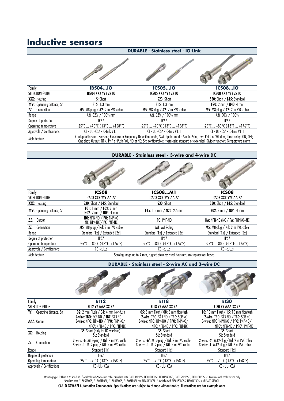# **Inductive sensors**

|                                           |                                                                         | <b>DURABLE - Stainless steel - IO-Link</b>                                                                                                                                                                                                                                                |                                                                         |
|-------------------------------------------|-------------------------------------------------------------------------|-------------------------------------------------------------------------------------------------------------------------------------------------------------------------------------------------------------------------------------------------------------------------------------------|-------------------------------------------------------------------------|
|                                           |                                                                         |                                                                                                                                                                                                                                                                                           |                                                                         |
| Family                                    | <b>IBS04IO</b>                                                          | <b>ICS05IO</b>                                                                                                                                                                                                                                                                            | <b>ICS08IO</b>                                                          |
| <b>SELECTION GUIDE</b>                    | <b>IBS04 XXX YYY ZZ 10</b>                                              | ICSO5 XXX YYY ZZ IO                                                                                                                                                                                                                                                                       | ICSO8 XXX YYY ZZ IO                                                     |
| XXX: Housing                              | S: Short                                                                | S23: Short                                                                                                                                                                                                                                                                                | S30: Short / L45: Standard                                              |
| YYY <sup>1</sup> : Operating distance, Sn | $F15: 1.3 \text{ mm}$                                                   | $F15: 1.3 \text{ mm}$                                                                                                                                                                                                                                                                     | <b>F20</b> : 2 mm $/$ N40: 4 mm                                         |
| <b>ZZ:</b> Connection                     | <b>M5</b> : M8-plug $\angle$ A2: 2 m PVC cable                          | M5: $M8$ -plug / A2: 2 m PVC cable                                                                                                                                                                                                                                                        | M5: $M8$ -plug / A2: 2 m PVC cable                                      |
| Range                                     | Adj. 62% / 100% mm                                                      | Adj. 62% / 100% mm                                                                                                                                                                                                                                                                        | Adj. 50% / 100%                                                         |
| Degree of protection                      | IP67                                                                    | IP67                                                                                                                                                                                                                                                                                      | IP67                                                                    |
| Operating temperature                     | $-25^{\circ}$ C  +70 $^{\circ}$ C ( $-13^{\circ}$ C  +158 $^{\circ}$ F) | $-25^{\circ}$ C  +70 $^{\circ}$ C ( $-13^{\circ}$ C  +158 $^{\circ}$ F)                                                                                                                                                                                                                   | $-25^{\circ}$ C  +80 $^{\circ}$ C ( $-13^{\circ}$ F  +176 $^{\circ}$ F) |
| Approvals / Certifications                | CE - UL - CSA - IO-Link V1.1                                            | CE - UL - CSA - IO-Link V1.1                                                                                                                                                                                                                                                              | CE - UL - CSA - IO-Link V1.1                                            |
| Main feature                              |                                                                         | Configurable smart sensors; Presence or Frequency Detection mode; Switchpoint mode: Single Point, Two Point or Window; Time delay: ON, OFF,<br>One shot; Output: NPN, PNP or Push-Pull, NO or NC; Sn: configurable; Hysteresis: standard or extended; Divider function; Temperature alarm |                                                                         |
|                                           |                                                                         |                                                                                                                                                                                                                                                                                           |                                                                         |

#### **DURABLE - Stainless steel - 3-wire and 4-wire DC**

|                                           | <b>STATISTICS</b>                                                                      |                                                                                 |                                                                     |
|-------------------------------------------|----------------------------------------------------------------------------------------|---------------------------------------------------------------------------------|---------------------------------------------------------------------|
| Family                                    | ICSO <sub>8</sub>                                                                      | <b>ICS08M1</b>                                                                  | ICSO <sub>8</sub>                                                   |
| SELECTION GUIDE                           | ICSO8 XXX YYY AA ZZ                                                                    | ICSO8 XXX YYY AA ZZ                                                             | ICSO8 XXX YYY AA ZZ                                                 |
| XXX: Housing                              | S30: Short / L45: Standard                                                             | S30: Short                                                                      | S30: Short / L45: Standard                                          |
| YYY <sup>1</sup> : Operating distance, Sn | <b>FO1</b> : 1 mm / <b>FO2</b> : 2 mm<br>$N02: 2 \, \text{mm}$ / $N04: 4 \, \text{mm}$ | F15: 1.5 mm / N25: 2.5 mm                                                       | F02: $2 \text{ mm} / \text{NO4: 4 mm}$                              |
| $\Delta\Delta$ : Output                   | NO: NPN-NO / PO: PNP-NO<br>NC: NPN-NC $\acute{}/$ PC: PNP-NC                           | $PO: PNP-NO$                                                                    | NA: NPN-NO+NC / PA: PNP-NO+NC                                       |
| <b>ZZ:</b> Connection                     | M5: $M8$ -plug / Nil: 2 m PVC cable                                                    | $MI: M12$ -plug                                                                 | M5: $M8$ -plug / Nil: 2 m PVC cable                                 |
| Range                                     | Standard [1x] / Extended [2x]                                                          | Standard [1x] / Extended [2x]                                                   | Standard [1x] / Extended [2x]                                       |
| Degree of protection                      | <b>IP67</b>                                                                            | <b>IP67</b>                                                                     | IP67                                                                |
| Operating temperature                     | $-25^{\circ}$ C+80 $^{\circ}$ C ( $-13^{\circ}$ F+176 $^{\circ}$ F)                    | $-25^{\circ}$ C+80 $^{\circ}$ C (-13 $^{\circ}$ F+176 $^{\circ}$ F)             | $-25^{\circ}$ C+80 $^{\circ}$ C ( $-13^{\circ}$ F+176 $^{\circ}$ F) |
| Approvals / Certifications                | CE - cULus                                                                             | $CE - cULus$                                                                    | CE - cULus                                                          |
| Main feature                              |                                                                                        | Sensing range up to 4 mm, rugged stainless steel housings, microprocessor based |                                                                     |

**DURABLE - Stainless steel - 2-wire AC and 3-wire DC**



| 3-wire: NPO: NPN-NO / PPO: PNP-NO/      | 3-wire: NPO: NPN-NO / PPO: PNP-NO/                                                                | 3-wire: NPO <sup>3</sup> NPN-NO / PPO: PNP-NO/                           |
|-----------------------------------------|---------------------------------------------------------------------------------------------------|--------------------------------------------------------------------------|
| $NPC2: NPN-NC / PPC: PNP-NC$            | $NPC: NPN-NC$ / PPC: PNP-NC                                                                       | $NPC4: NPN-NC / PPC4: PNP-NC$                                            |
| <b>SS:</b> Short (only for DC versions) | SS: Short                                                                                         | SS: Short                                                                |
| <b>SL:</b> Standard                     | <b>SL:</b> Standard                                                                               | <b>SL:</b> Standard                                                      |
|                                         | <b>2-wire: -6</b> <sup>5</sup> : M12-plug / Nil: 2 m PVC cable                                    | 2-wire: $-6$ <sup>6</sup> : M12-plug / Nil: 2 m PVC cable                |
|                                         |                                                                                                   | <b>3-wire: -1:</b> $M12$ -plug $\overline{\smash{7}}$ Nil: 2 m PVC cable |
| Standard [1x]                           | Standard [1x]                                                                                     | Standard [1x]                                                            |
| IP67                                    | <b>IP67</b>                                                                                       | <b>IP67</b>                                                              |
| $-25^{\circ}$ C+70°C (-13°F+158°F)      | $-25^{\circ}$ C+70 $^{\circ}$ C ( $-13^{\circ}$ F+158 $^{\circ}$ F)                               | $-25^{\circ}$ C+70 $^{\circ}$ C (-13 $^{\circ}$ E+158 $^{\circ}$ F)      |
| CE - UL - CSA                           | CE - UL - CSA                                                                                     | CE - UL - CSA                                                            |
|                                         | 2-wire: -6: M12-plug / Nil: 2 m PVC cable<br><b>3-wire -1:</b> $M12$ -plug $/$ Nil: 2 m PVC cable | <b>3-wire: -1:</b> $M12$ -plug $/$ Nil: 2 m PVC cable                    |

Mounting type: F: Flush / N: Non-flush - <sup>2</sup> Available with **SS** version only - <sup>3</sup> Availabe with E13010NPOSS, E13010NPOSS, E13015NPOSS-1, E13015NPOSL - 4 Available with cable version only -<br><sup>5</sup> Availabe with E11805TBOSS,

CARLO GAVAZZI Automation Components. Specifications are subject to change without notice. Illustrations are for example only.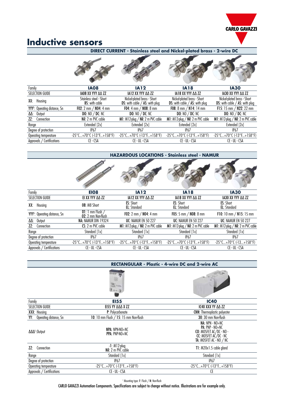

# **Inductive sensors**

| DIRECT CURRENT - Stainless steel and Nickel-plated brass - 2-wire DC |                                                                     |                                                                     |                                                                             |                                                                     |  |  |  |  |  |  |
|----------------------------------------------------------------------|---------------------------------------------------------------------|---------------------------------------------------------------------|-----------------------------------------------------------------------------|---------------------------------------------------------------------|--|--|--|--|--|--|
|                                                                      |                                                                     |                                                                     |                                                                             |                                                                     |  |  |  |  |  |  |
| Family                                                               | <b>IA08</b>                                                         | <b>IA12</b>                                                         | <b>IA18</b>                                                                 | <b>IA30</b>                                                         |  |  |  |  |  |  |
| SELECTION GUIDE                                                      | IA08 XX YYY AA ZZ                                                   | IA12 XX YYY AA ZZ                                                   | <b>IA18 XX YYY AA ZZ</b>                                                    | IA30 XX YYY AA ZZ                                                   |  |  |  |  |  |  |
| Housing<br>XX:                                                       | Stainless steel - Short<br><b>BS:</b> with cable                    | Nickel-plated brass - Short<br>DS: with cable $/$ AS: with plug     | Nickel-plated brass - Short<br><b>DS:</b> with cable $\angle$ AS: with plug | Nickel-plated brass - Short<br>DS: with cable $/$ AS: with plug     |  |  |  |  |  |  |
| YYY <sup>1</sup> : Operating distance, Sn                            | <b>F02:</b> 2 mm $/$ N04: 4 mm                                      | <b>F04:</b> 4 mm $/$ N08: 8 mm                                      | F08: $8 \text{ mm} / \text{N14}$ : 14 mm                                    | F15: 15 mm / N22: 22 mm                                             |  |  |  |  |  |  |
| Output<br>ΔΔ:                                                        | DO: $NO / DC: NC$                                                   | DO: $NO / DC: NC$                                                   | DO: $NO / DC: NC$                                                           | DO: $NO / DC: NC$                                                   |  |  |  |  |  |  |
| Connection<br>ZZ:                                                    | Nil: 2 m PVC cable                                                  | M1: $M12$ -plug / Nil: 2 m PVC cable                                | M1: $M12$ -plug / Nil: 2 m PVC cable                                        | M1: $M12$ -plug / Nil: 2 m PVC cable                                |  |  |  |  |  |  |
| Range                                                                | Extended [2x]                                                       | Extended [2x]                                                       | Extended [2x]                                                               | Extended [2x]                                                       |  |  |  |  |  |  |
| Degree of protection                                                 | IP67                                                                | IP67                                                                | <b>IP67</b>                                                                 | IP67                                                                |  |  |  |  |  |  |
| Operating temperature                                                | $-25^{\circ}$ C+70 $^{\circ}$ C ( $-13^{\circ}$ F+158 $^{\circ}$ F) | $-25^{\circ}$ C+70 $^{\circ}$ C ( $-13^{\circ}$ F+158 $^{\circ}$ F) | $-25^{\circ}$ C+70 $^{\circ}$ C ( $-13^{\circ}$ F+158 $^{\circ}$ F)         | $-25^{\circ}$ C+70 $^{\circ}$ C (-13 $^{\circ}$ F+158 $^{\circ}$ F) |  |  |  |  |  |  |
| Approvals / Certifications                                           | CE - CSA                                                            | $CE - UL - CSA$                                                     | CE - UL - CSA                                                               | CE - UL - CSA                                                       |  |  |  |  |  |  |



| <b>EIO8</b>                                                         | <b>IA12</b>                                                         | <b>IA18</b>                                                         | <b>IA30</b>                                            |
|---------------------------------------------------------------------|---------------------------------------------------------------------|---------------------------------------------------------------------|--------------------------------------------------------|
| ΕΙ ΧΧ ΥΥΥ ΔΔ ΖΖ                                                     | IA12 XX YYY AA ZZ                                                   | IA18 XX YYY AA ZZ                                                   | IA30 XX YYY AA ZZ                                      |
| 08: M8 Short                                                        | <b>ES:</b> Short<br><b>EL:</b> Standard                             | <b>ES: Short</b><br><b>EL:</b> Standard                             | <b>ES:</b> Short<br><b>EL:</b> Standard                |
| $01:1$ mm Flush /<br>$02:2$ mm Non-flush                            | <b>F02:</b> 2 mm $/$ N04: 4 mm                                      | F05: 5 mm $/$ N08: 8 mm                                             | F10: 10 mm $/$ N15: 15 mm                              |
| NA: NAMUR DIN 19324                                                 | <b>UC: NAMUR EN 50 227</b>                                          | <b>UC: NAMUR EN 50 227</b>                                          | <b>UC: NAMUR EN 50 227</b>                             |
| CS: 2 m PVC cable                                                   | $M1: M12$ -plug / Nil: 2 m PVC cable                                | M1: $M12$ -plug / Nil: 2 m PVC cable                                | M1: $M12$ -plug / Nil: 2 m PVC cable                   |
| Standard [1x]                                                       | Standard [1x]                                                       | Standard [1x]                                                       | Standard [1x]                                          |
| <b>IP67</b>                                                         | <b>IP67</b>                                                         | <b>IP67</b>                                                         | <b>IP67</b>                                            |
| $-25^{\circ}$ C+70 $^{\circ}$ C ( $-13^{\circ}$ F+158 $^{\circ}$ F) | $-25^{\circ}$ C+70 $^{\circ}$ C ( $-13^{\circ}$ F+158 $^{\circ}$ F) | $-25^{\circ}$ C+70 $^{\circ}$ C (-13 $^{\circ}$ F+158 $^{\circ}$ F) | $-25^{\circ}$ C+70 $^{\circ}$ C (-13+158 $^{\circ}$ F) |
| CE - UL - CSA                                                       | CE - UL - CSA                                                       | CE - UL - CSA                                                       | CE - UL - CSA                                          |
|                                                                     |                                                                     |                                                                     |                                                        |

|                                | <b>RECTANGULAR - Plastic - 4-wire DC and 2-wire AC</b>              |                                                                                                                                                      |  |
|--------------------------------|---------------------------------------------------------------------|------------------------------------------------------------------------------------------------------------------------------------------------------|--|
|                                | 温仙<br>$0.44 - 10$                                                   |                                                                                                                                                      |  |
| Family                         | <b>EI55</b>                                                         | <b>IC40</b>                                                                                                                                          |  |
| <b>SELECTION GUIDE</b>         | <b>EI55 YY AAA X ZZ</b>                                             | IC40 XXX YY AA ZZ                                                                                                                                    |  |
| XXX: Housing                   | P: Polycarbonate                                                    | <b>CNN: Thermoplastic polyester</b>                                                                                                                  |  |
| Operating distance, Sn<br>YY:  | 10: 10 mm Flush / 15: 15 mm Non-flush                               | 30: 30 mm Non-flush                                                                                                                                  |  |
| $\Delta\Delta\Delta$ 1: Output | NPA: NPN-NO+NC<br><b>PPA: PNP-NO+NC</b>                             | $NA: NPN - NO + NC$<br>$PA: PNP - NO + NC$<br>CO: MOSFET AC/DC - NO -<br><b>CC:</b> MOSFET AĆ/DC - NC<br><b>TA:</b> MOSFET AC $\cdot$ NO $\prime$ NC |  |
| ZL<br>Connection               | $-I$ : M12-plug<br>Nil: 2 m PVC cable                               | T1: M20x1.5 cable gland                                                                                                                              |  |
| Range                          | Standard [1x]                                                       | Standard [1x]                                                                                                                                        |  |
| Degree of protection           | <b>IP67</b>                                                         | IP67                                                                                                                                                 |  |
| Operating temperature          | $-25^{\circ}$ C+70 $^{\circ}$ C ( $-13^{\circ}$ F+158 $^{\circ}$ F) | -25°C+70°C (-13°F+158°F)                                                                                                                             |  |
| Approvals / Certifications     | CE - UL - CSA                                                       | СE                                                                                                                                                   |  |

1 Mounting type: F: Flush / N: Non-flush